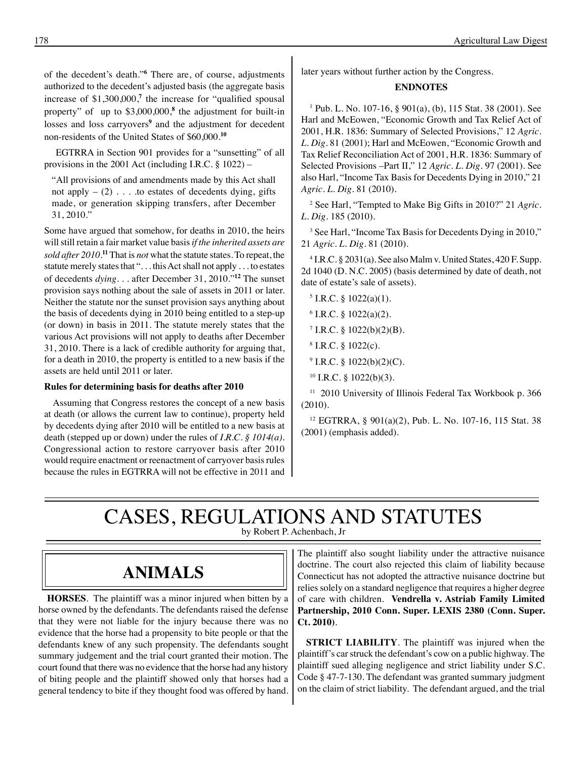of the decedent's death."**<sup>6</sup>** There are, of course, adjustments authorized to the decedent's adjusted basis (the aggregate basis increase of \$1,300,000,**<sup>7</sup>** the increase for "qualified spousal property" of up to \$3,000,000,**<sup>8</sup>** the adjustment for built-in losses and loss carryovers<sup>9</sup> and the adjustment for decedent non-residents of the United States of \$60,000.**<sup>10</sup>**

 EGTRRA in Section 901 provides for a "sunsetting" of all provisions in the 2001 Act (including I.R.C. § 1022) –

"All provisions of and amendments made by this Act shall not apply  $-$  (2)  $\ldots$  to estates of decedents dying, gifts made, or generation skipping transfers, after December 31, 2010."

Some have argued that somehow, for deaths in 2010, the heirs will still retain a fair market value basis *if the inherited assets are sold after 2010*. **<sup>11</sup>** That is *not* what the statute states. To repeat, the statute merely states that ". . . this Act shall not apply . . . to estates of decedents *dying*. . . after December 31, 2010."**<sup>12</sup>** The sunset provision says nothing about the sale of assets in 2011 or later. Neither the statute nor the sunset provision says anything about the basis of decedents dying in 2010 being entitled to a step-up (or down) in basis in 2011. The statute merely states that the various Act provisions will not apply to deaths after December 31, 2010. There is a lack of credible authority for arguing that, for a death in 2010, the property is entitled to a new basis if the assets are held until 2011 or later.

#### **Rules for determining basis for deaths after 2010**

Assuming that Congress restores the concept of a new basis at death (or allows the current law to continue), property held by decedents dying after 2010 will be entitled to a new basis at death (stepped up or down) under the rules of *I.R.C. § 1014(a).*  Congressional action to restore carryover basis after 2010 would require enactment or reenactment of carryover basis rules because the rules in EGTRRA will not be effective in 2011 and later years without further action by the Congress.

#### **ENDNOTES**

1 Pub. L. No. 107-16, § 901(a), (b), 115 Stat. 38 (2001). See Harl and McEowen, "Economic Growth and Tax Relief Act of 2001, H.R. 1836: Summary of Selected Provisions," 12 *Agric. L. Dig*. 81 (2001); Harl and McEowen, "Economic Growth and Tax Relief Reconciliation Act of 2001, H.R. 1836: Summary of Selected Provisions –Part II," 12 *Agric. L. Dig*. 97 (2001). See also Harl, "Income Tax Basis for Decedents Dying in 2010," 21 *Agric. L. Dig*. 81 (2010).

2 See Harl, "Tempted to Make Big Gifts in 2010?" 21 *Agric. L. Dig*. 185 (2010).

<sup>3</sup> See Harl, "Income Tax Basis for Decedents Dying in 2010," 21 *Agric. L. Dig.* 81 (2010).

4 I.R.C. § 2031(a). See also Malm v. United States, 420 F. Supp. 2d 1040 (D. N.C. 2005) (basis determined by date of death, not date of estate's sale of assets).

- $5$  I.R.C. § 1022(a)(1).
- $6$  I.R.C. § 1022(a)(2).
- $7$  I.R.C. § 1022(b)(2)(B).
- $8$  I.R.C.  $\S$  1022(c).
- $9$  I.R.C. § 1022(b)(2)(C).
- $10$  I.R.C. § 1022(b)(3).

 $11$  2010 University of Illinois Federal Tax Workbook p. 366 (2010).

12 EGTRRA, § 901(a)(2), Pub. L. No. 107-16, 115 Stat. 38 (2001) (emphasis added).

# CASES, REGULATIONS AND STATUTES

by Robert P. Achenbach, Jr

## **animals**

**HORSES**. The plaintiff was a minor injured when bitten by a horse owned by the defendants. The defendants raised the defense that they were not liable for the injury because there was no evidence that the horse had a propensity to bite people or that the defendants knew of any such propensity. The defendants sought summary judgement and the trial court granted their motion. The court found that there was no evidence that the horse had any history of biting people and the plaintiff showed only that horses had a general tendency to bite if they thought food was offered by hand.

The plaintiff also sought liability under the attractive nuisance doctrine. The court also rejected this claim of liability because Connecticut has not adopted the attractive nuisance doctrine but relies solely on a standard negligence that requires a higher degree of care with children. **Vendrella v. Astriab Family Limited Partnership, 2010 Conn. Super. LEXIS 2380 (Conn. Super. Ct. 2010)**.

**STRICT LIABILITY**. The plaintiff was injured when the plaintiff's car struck the defendant's cow on a public highway. The plaintiff sued alleging negligence and strict liability under S.C. Code § 47-7-130. The defendant was granted summary judgment on the claim of strict liability. The defendant argued, and the trial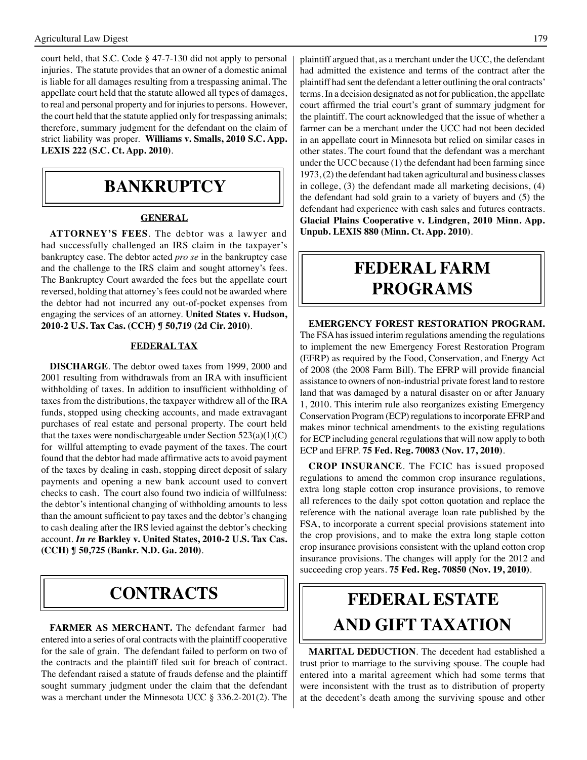court held, that S.C. Code § 47-7-130 did not apply to personal injuries. The statute provides that an owner of a domestic animal is liable for all damages resulting from a trespassing animal. The appellate court held that the statute allowed all types of damages, to real and personal property and for injuries to persons. However, the court held that the statute applied only for trespassing animals; therefore, summary judgment for the defendant on the claim of strict liability was proper. **Williams v. Smalls, 2010 S.C. App. LEXIS 222 (S.C. Ct. App. 2010)**.

## **bankruptcy**

#### **GENERAL**

**ATTORNEY'S FEES**. The debtor was a lawyer and had successfully challenged an IRS claim in the taxpayer's bankruptcy case. The debtor acted *pro se* in the bankruptcy case and the challenge to the IRS claim and sought attorney's fees. The Bankruptcy Court awarded the fees but the appellate court reversed, holding that attorney's fees could not be awarded where the debtor had not incurred any out-of-pocket expenses from engaging the services of an attorney. **United States v. Hudson, 2010-2 U.S. Tax Cas. (CCH) ¶ 50,719 (2d Cir. 2010)**.

#### **FEDERAL TAX**

**DISCHARGE**. The debtor owed taxes from 1999, 2000 and 2001 resulting from withdrawals from an IRA with insufficient withholding of taxes. In addition to insufficient withholding of taxes from the distributions, the taxpayer withdrew all of the IRA funds, stopped using checking accounts, and made extravagant purchases of real estate and personal property. The court held that the taxes were nondischargeable under Section  $523(a)(1)(C)$ for willful attempting to evade payment of the taxes. The court found that the debtor had made affirmative acts to avoid payment of the taxes by dealing in cash, stopping direct deposit of salary payments and opening a new bank account used to convert checks to cash. The court also found two indicia of willfulness: the debtor's intentional changing of withholding amounts to less than the amount sufficient to pay taxes and the debtor's changing to cash dealing after the IRS levied against the debtor's checking account. *In re* **Barkley v. United States, 2010-2 U.S. Tax Cas. (CCH) ¶ 50,725 (Bankr. N.D. Ga. 2010)**.

### **CONTRACTS**

**FARMER AS MERCHANT.** The defendant farmer had entered into a series of oral contracts with the plaintiff cooperative for the sale of grain. The defendant failed to perform on two of the contracts and the plaintiff filed suit for breach of contract. The defendant raised a statute of frauds defense and the plaintiff sought summary judgment under the claim that the defendant was a merchant under the Minnesota UCC § 336.2-201(2). The

plaintiff argued that, as a merchant under the UCC, the defendant had admitted the existence and terms of the contract after the plaintiff had sent the defendant a letter outlining the oral contracts' terms. In a decision designated as not for publication, the appellate court affirmed the trial court's grant of summary judgment for the plaintiff. The court acknowledged that the issue of whether a farmer can be a merchant under the UCC had not been decided in an appellate court in Minnesota but relied on similar cases in other states. The court found that the defendant was a merchant under the UCC because (1) the defendant had been farming since 1973, (2) the defendant had taken agricultural and business classes in college, (3) the defendant made all marketing decisions, (4) the defendant had sold grain to a variety of buyers and (5) the defendant had experience with cash sales and futures contracts. **Glacial Plains Cooperative v. Lindgren, 2010 Minn. App. Unpub. LEXIS 880 (Minn. Ct. App. 2010)**.

## **federal FARM PROGRAMS**

#### **EMERGENCY FOREST RESTORATION PROGRAM.**  The FSA has issued interim regulations amending the regulations

to implement the new Emergency Forest Restoration Program (EFRP) as required by the Food, Conservation, and Energy Act of 2008 (the 2008 Farm Bill). The EFRP will provide financial assistance to owners of non-industrial private forest land to restore land that was damaged by a natural disaster on or after January 1, 2010. This interim rule also reorganizes existing Emergency Conservation Program (ECP) regulations to incorporate EFRP and makes minor technical amendments to the existing regulations for ECP including general regulations that will now apply to both ECP and EFRP. **75 Fed. Reg. 70083 (Nov. 17, 2010)**.

**CROP INSURANCE**. The FCIC has issued proposed regulations to amend the common crop insurance regulations, extra long staple cotton crop insurance provisions, to remove all references to the daily spot cotton quotation and replace the reference with the national average loan rate published by the FSA, to incorporate a current special provisions statement into the crop provisions, and to make the extra long staple cotton crop insurance provisions consistent with the upland cotton crop insurance provisions. The changes will apply for the 2012 and succeeding crop years. **75 Fed. Reg. 70850 (Nov. 19, 2010)**.

# **FEDERAL ESTATE AND GIFT taxation**

 **MARITAL DEDUCTION**. The decedent had established a trust prior to marriage to the surviving spouse. The couple had entered into a marital agreement which had some terms that were inconsistent with the trust as to distribution of property at the decedent's death among the surviving spouse and other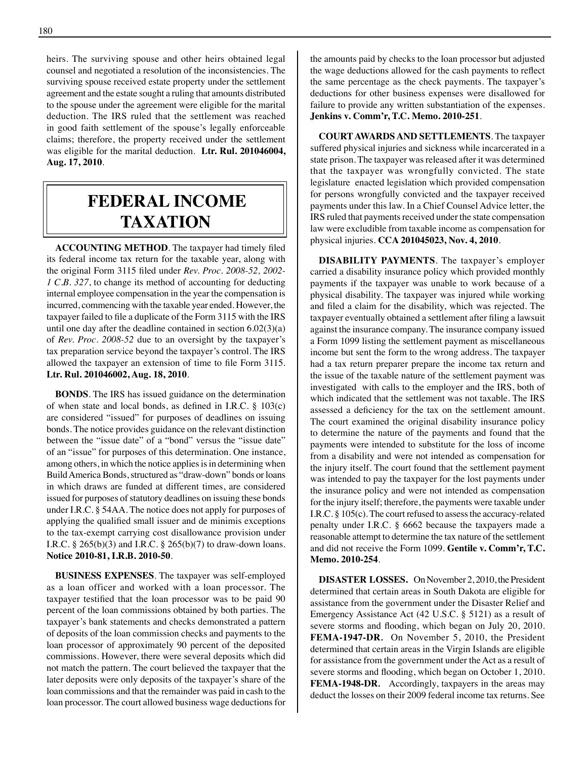heirs. The surviving spouse and other heirs obtained legal counsel and negotiated a resolution of the inconsistencies. The surviving spouse received estate property under the settlement agreement and the estate sought a ruling that amounts distributed to the spouse under the agreement were eligible for the marital deduction. The IRS ruled that the settlement was reached in good faith settlement of the spouse's legally enforceable claims; therefore, the property received under the settlement was eligible for the marital deduction. **Ltr. Rul. 201046004, Aug. 17, 2010**.

## **federal income taxation**

**ACCOUNTING METHOD**. The taxpayer had timely filed its federal income tax return for the taxable year, along with the original Form 3115 filed under *Rev. Proc. 2008-52, 2002- 1 C.B. 327*, to change its method of accounting for deducting internal employee compensation in the year the compensation is incurred, commencing with the taxable year ended. However, the taxpayer failed to file a duplicate of the Form 3115 with the IRS until one day after the deadline contained in section  $6.02(3)(a)$ of *Rev. Proc. 2008-52* due to an oversight by the taxpayer's tax preparation service beyond the taxpayer's control. The IRS allowed the taxpayer an extension of time to file Form 3115. **Ltr. Rul. 201046002, Aug. 18, 2010**.

**BONDS**. The IRS has issued guidance on the determination of when state and local bonds, as defined in I.R.C. § 103(c) are considered "issued" for purposes of deadlines on issuing bonds. The notice provides guidance on the relevant distinction between the "issue date" of a "bond" versus the "issue date" of an "issue" for purposes of this determination. One instance, among others, in which the notice applies is in determining when Build America Bonds, structured as "draw-down" bonds or loans in which draws are funded at different times, are considered issued for purposes of statutory deadlines on issuing these bonds under I.R.C. § 54AA. The notice does not apply for purposes of applying the qualified small issuer and de minimis exceptions to the tax-exempt carrying cost disallowance provision under I.R.C. § 265(b)(3) and I.R.C. § 265(b)(7) to draw-down loans. **Notice 2010-81, I.R.B. 2010-50**.

**BUSINESS EXPENSES**. The taxpayer was self-employed as a loan officer and worked with a loan processor. The taxpayer testified that the loan processor was to be paid 90 percent of the loan commissions obtained by both parties. The taxpayer's bank statements and checks demonstrated a pattern of deposits of the loan commission checks and payments to the loan processor of approximately 90 percent of the deposited commissions. However, there were several deposits which did not match the pattern. The court believed the taxpayer that the later deposits were only deposits of the taxpayer's share of the loan commissions and that the remainder was paid in cash to the loan processor. The court allowed business wage deductions for

the amounts paid by checks to the loan processor but adjusted the wage deductions allowed for the cash payments to reflect the same percentage as the check payments. The taxpayer's deductions for other business expenses were disallowed for failure to provide any written substantiation of the expenses. **Jenkins v. Comm'r, T.C. Memo. 2010-251**.

**COURT AWARDS AND SETTLEMENTS**. The taxpayer suffered physical injuries and sickness while incarcerated in a state prison. The taxpayer was released after it was determined that the taxpayer was wrongfully convicted. The state legislature enacted legislation which provided compensation for persons wrongfully convicted and the taxpayer received payments under this law. In a Chief Counsel Advice letter, the IRS ruled that payments received under the state compensation law were excludible from taxable income as compensation for physical injuries. **CCA 201045023, Nov. 4, 2010**.

**DISABILITY PAYMENTS**. The taxpayer's employer carried a disability insurance policy which provided monthly payments if the taxpayer was unable to work because of a physical disability. The taxpayer was injured while working and filed a claim for the disability, which was rejected. The taxpayer eventually obtained a settlement after filing a lawsuit against the insurance company. The insurance company issued a Form 1099 listing the settlement payment as miscellaneous income but sent the form to the wrong address. The taxpayer had a tax return preparer prepare the income tax return and the issue of the taxable nature of the settlement payment was investigated with calls to the employer and the IRS, both of which indicated that the settlement was not taxable. The IRS assessed a deficiency for the tax on the settlement amount. The court examined the original disability insurance policy to determine the nature of the payments and found that the payments were intended to substitute for the loss of income from a disability and were not intended as compensation for the injury itself. The court found that the settlement payment was intended to pay the taxpayer for the lost payments under the insurance policy and were not intended as compensation for the injury itself; therefore, the payments were taxable under I.R.C. § 105(c). The court refused to assess the accuracy-related penalty under I.R.C. § 6662 because the taxpayers made a reasonable attempt to determine the tax nature of the settlement and did not receive the Form 1099. **Gentile v. Comm'r, T.C. Memo. 2010-254**.

**DISASTER LOSSES.** On November 2, 2010, the President determined that certain areas in South Dakota are eligible for assistance from the government under the Disaster Relief and Emergency Assistance Act (42 U.S.C. § 5121) as a result of severe storms and flooding, which began on July 20, 2010. **FEMA-1947-DR***.* On November 5, 2010, the President determined that certain areas in the Virgin Islands are eligible for assistance from the government under the Act as a result of severe storms and flooding, which began on October 1, 2010. **FEMA-1948-DR***.* Accordingly, taxpayers in the areas may deduct the losses on their 2009 federal income tax returns. See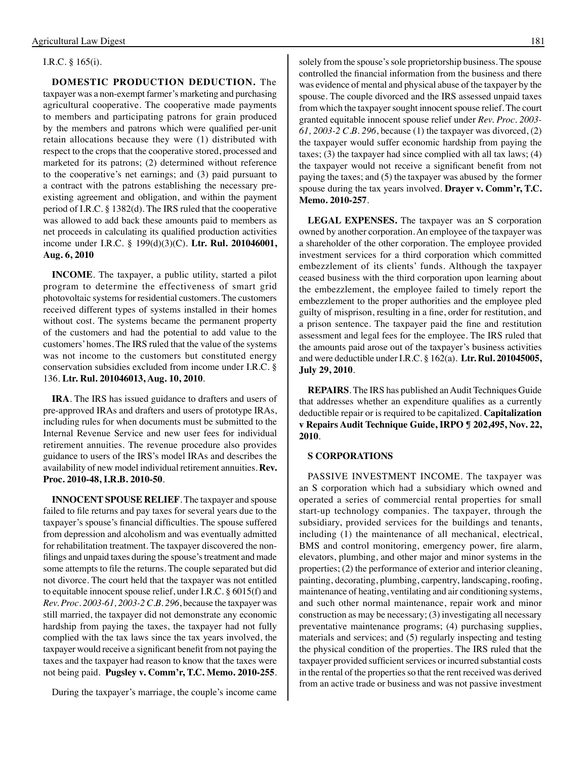#### I.R.C. § 165(i).

**DOMESTIC PRODUCTION DEDUCTION.** The taxpayer was a non-exempt farmer's marketing and purchasing agricultural cooperative. The cooperative made payments to members and participating patrons for grain produced by the members and patrons which were qualified per-unit retain allocations because they were (1) distributed with respect to the crops that the cooperative stored, processed and marketed for its patrons; (2) determined without reference to the cooperative's net earnings; and (3) paid pursuant to a contract with the patrons establishing the necessary preexisting agreement and obligation, and within the payment period of I.R.C. § 1382(d). The IRS ruled that the cooperative was allowed to add back these amounts paid to members as net proceeds in calculating its qualified production activities income under I.R.C. § 199(d)(3)(C). **Ltr. Rul. 201046001, Aug. 6, 2010**

**INCOME**. The taxpayer, a public utility, started a pilot program to determine the effectiveness of smart grid photovoltaic systems for residential customers. The customers received different types of systems installed in their homes without cost. The systems became the permanent property of the customers and had the potential to add value to the customers' homes. The IRS ruled that the value of the systems was not income to the customers but constituted energy conservation subsidies excluded from income under I.R.C. § 136. **Ltr. Rul. 201046013, Aug. 10, 2010**.

**IRA**. The IRS has issued guidance to drafters and users of pre-approved IRAs and drafters and users of prototype IRAs, including rules for when documents must be submitted to the Internal Revenue Service and new user fees for individual retirement annuities. The revenue procedure also provides guidance to users of the IRS's model IRAs and describes the availability of new model individual retirement annuities. **Rev. Proc. 2010-48, I.R.B. 2010-50**.

**INNOCENT SPOUSE RELIEF**. The taxpayer and spouse failed to file returns and pay taxes for several years due to the taxpayer's spouse's financial difficulties. The spouse suffered from depression and alcoholism and was eventually admitted for rehabilitation treatment. The taxpayer discovered the nonfilings and unpaid taxes during the spouse's treatment and made some attempts to file the returns. The couple separated but did not divorce. The court held that the taxpayer was not entitled to equitable innocent spouse relief, under I.R.C. § 6015(f) and *Rev. Proc. 2003-61, 2003-2 C.B. 296*, because the taxpayer was still married, the taxpayer did not demonstrate any economic hardship from paying the taxes, the taxpayer had not fully complied with the tax laws since the tax years involved, the taxpayer would receive a significant benefit from not paying the taxes and the taxpayer had reason to know that the taxes were not being paid. **Pugsley v. Comm'r, T.C. Memo. 2010-255**.

During the taxpayer's marriage, the couple's income came

solely from the spouse's sole proprietorship business. The spouse controlled the financial information from the business and there was evidence of mental and physical abuse of the taxpayer by the spouse. The couple divorced and the IRS assessed unpaid taxes from which the taxpayer sought innocent spouse relief. The court granted equitable innocent spouse relief under *Rev. Proc. 2003- 61, 2003-2 C.B. 296*, because (1) the taxpayer was divorced, (2) the taxpayer would suffer economic hardship from paying the taxes; (3) the taxpayer had since complied with all tax laws; (4) the taxpayer would not receive a significant benefit from not paying the taxes; and (5) the taxpayer was abused by the former spouse during the tax years involved. **Drayer v. Comm'r, T.C. Memo. 2010-257**.

**LEGAL EXPENSES.** The taxpayer was an S corporation owned by another corporation. An employee of the taxpayer was a shareholder of the other corporation. The employee provided investment services for a third corporation which committed embezzlement of its clients' funds. Although the taxpayer ceased business with the third corporation upon learning about the embezzlement, the employee failed to timely report the embezzlement to the proper authorities and the employee pled guilty of misprison, resulting in a fine, order for restitution, and a prison sentence. The taxpayer paid the fine and restitution assessment and legal fees for the employee. The IRS ruled that the amounts paid arose out of the taxpayer's business activities and were deductible under I.R.C. § 162(a). **Ltr. Rul. 201045005, July 29, 2010**.

**REPAIRS**. The IRS has published an Audit Techniques Guide that addresses whether an expenditure qualifies as a currently deductible repair or is required to be capitalized. **Capitalization v Repairs Audit Technique Guide, IRPO ¶ 202,495, Nov. 22, 2010**.

#### **S CORPORATIONS**

PASSIVE INVESTMENT INCOME. The taxpayer was an S corporation which had a subsidiary which owned and operated a series of commercial rental properties for small start-up technology companies. The taxpayer, through the subsidiary, provided services for the buildings and tenants, including (1) the maintenance of all mechanical, electrical, BMS and control monitoring, emergency power, fire alarm, elevators, plumbing, and other major and minor systems in the properties; (2) the performance of exterior and interior cleaning, painting, decorating, plumbing, carpentry, landscaping, roofing, maintenance of heating, ventilating and air conditioning systems, and such other normal maintenance, repair work and minor construction as may be necessary; (3) investigating all necessary preventative maintenance programs; (4) purchasing supplies, materials and services; and (5) regularly inspecting and testing the physical condition of the properties. The IRS ruled that the taxpayer provided sufficient services or incurred substantial costs in the rental of the properties so that the rent received was derived from an active trade or business and was not passive investment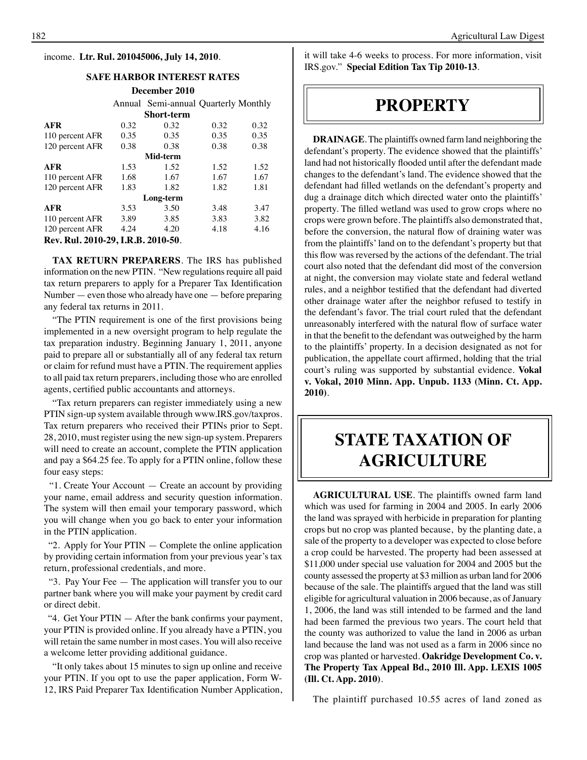#### income. **Ltr. Rul. 201045006, July 14, 2010**.

#### **Safe Harbor interest rates**

**December 2010** Annual Semi-annual Quarterly Monthly **Short-term AFR** 0.32 0.32 0.32 0.32 110 percent AFR 0.35 0.35 0.35 0.35 120 percent AFR 0.38 0.38 0.38 0.38 **Mid-term AFR** 1.53 1.52 1.52 1.52 110 percent AFR 1.68 1.67 1.67 1.67 120 percent AFR 1.83 1.82 1.82 1.81 **Long-term AFR** 3.53 3.50 3.48 3.47 110 percent AFR 3.89 3.85 3.83 3.82 120 percent AFR 4.24 4.20 4.18 4.16 **Rev. Rul. 2010-29, I.R.B. 2010-50**.

**TAX RETURN PREPARERS**. The IRS has published information on the new PTIN. "New regulations require all paid tax return preparers to apply for a Preparer Tax Identification Number  $-$  even those who already have one  $-$  before preparing any federal tax returns in 2011.

"The PTIN requirement is one of the first provisions being implemented in a new oversight program to help regulate the tax preparation industry. Beginning January 1, 2011, anyone paid to prepare all or substantially all of any federal tax return or claim for refund must have a PTIN. The requirement applies to all paid tax return preparers, including those who are enrolled agents, certified public accountants and attorneys.

"Tax return preparers can register immediately using a new PTIN sign-up system available through www.IRS.gov/taxpros. Tax return preparers who received their PTINs prior to Sept. 28, 2010, must register using the new sign-up system. Preparers will need to create an account, complete the PTIN application and pay a \$64.25 fee. To apply for a PTIN online, follow these four easy steps:

 "1. Create Your Account — Create an account by providing your name, email address and security question information. The system will then email your temporary password, which you will change when you go back to enter your information in the PTIN application.

"2. Apply for Your  $PTIN - Complete$  the online application by providing certain information from your previous year's tax return, professional credentials, and more.

 "3. Pay Your Fee — The application will transfer you to our partner bank where you will make your payment by credit card or direct debit.

 "4. Get Your PTIN — After the bank confirms your payment, your PTIN is provided online. If you already have a PTIN, you will retain the same number in most cases. You will also receive a welcome letter providing additional guidance.

"It only takes about 15 minutes to sign up online and receive your PTIN. If you opt to use the paper application, Form W-12, IRS Paid Preparer Tax Identification Number Application,

it will take 4-6 weeks to process. For more information, visit IRS.gov." **Special Edition Tax Tip 2010-13**.

## **property**

**DRAINAGE**. The plaintiffs owned farm land neighboring the defendant's property. The evidence showed that the plaintiffs' land had not historically flooded until after the defendant made changes to the defendant's land. The evidence showed that the defendant had filled wetlands on the defendant's property and dug a drainage ditch which directed water onto the plaintiffs' property. The filled wetland was used to grow crops where no crops were grown before. The plaintiffs also demonstrated that, before the conversion, the natural flow of draining water was from the plaintiffs' land on to the defendant's property but that this flow was reversed by the actions of the defendant. The trial court also noted that the defendant did most of the conversion at night, the conversion may violate state and federal wetland rules, and a neighbor testified that the defendant had diverted other drainage water after the neighbor refused to testify in the defendant's favor. The trial court ruled that the defendant unreasonably interfered with the natural flow of surface water in that the benefit to the defendant was outweighed by the harm to the plaintiffs' property. In a decision designated as not for publication, the appellate court affirmed, holding that the trial court's ruling was supported by substantial evidence. **Vokal v. Vokal, 2010 Minn. App. Unpub. 1133 (Minn. Ct. App. 2010)**.

## **STATE TAXATION OF AGRICULTURE**

**AGRICULTURAL USE**. The plaintiffs owned farm land which was used for farming in 2004 and 2005. In early 2006 the land was sprayed with herbicide in preparation for planting crops but no crop was planted because, by the planting date, a sale of the property to a developer was expected to close before a crop could be harvested. The property had been assessed at \$11,000 under special use valuation for 2004 and 2005 but the county assessed the property at \$3 million as urban land for 2006 because of the sale. The plaintiffs argued that the land was still eligible for agricultural valuation in 2006 because, as of January 1, 2006, the land was still intended to be farmed and the land had been farmed the previous two years. The court held that the county was authorized to value the land in 2006 as urban land because the land was not used as a farm in 2006 since no crop was planted or harvested. **Oakridge Development Co. v. The Property Tax Appeal Bd., 2010 Ill. App. LEXIS 1005 (Ill. Ct. App. 2010)**.

The plaintiff purchased 10.55 acres of land zoned as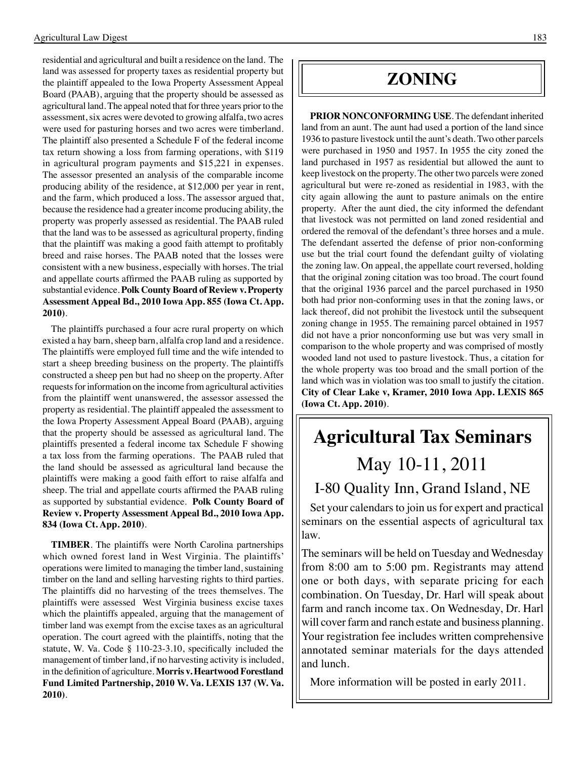residential and agricultural and built a residence on the land. The land was assessed for property taxes as residential property but the plaintiff appealed to the Iowa Property Assessment Appeal Board (PAAB), arguing that the property should be assessed as agricultural land. The appeal noted that for three years prior to the assessment, six acres were devoted to growing alfalfa, two acres were used for pasturing horses and two acres were timberland. The plaintiff also presented a Schedule F of the federal income tax return showing a loss from farming operations, with \$119 in agricultural program payments and \$15,221 in expenses. The assessor presented an analysis of the comparable income producing ability of the residence, at \$12,000 per year in rent, and the farm, which produced a loss. The assessor argued that, because the residence had a greater income producing ability, the property was properly assessed as residential. The PAAB ruled that the land was to be assessed as agricultural property, finding that the plaintiff was making a good faith attempt to profitably breed and raise horses. The PAAB noted that the losses were consistent with a new business, especially with horses. The trial and appellate courts affirmed the PAAB ruling as supported by substantial evidence. **Polk County Board of Review v. Property Assessment Appeal Bd., 2010 Iowa App. 855 (Iowa Ct. App. 2010)**.

The plaintiffs purchased a four acre rural property on which existed a hay barn, sheep barn, alfalfa crop land and a residence. The plaintiffs were employed full time and the wife intended to start a sheep breeding business on the property. The plaintiffs constructed a sheep pen but had no sheep on the property. After requests for information on the income from agricultural activities from the plaintiff went unanswered, the assessor assessed the property as residential. The plaintiff appealed the assessment to the Iowa Property Assessment Appeal Board (PAAB), arguing that the property should be assessed as agricultural land. The plaintiffs presented a federal income tax Schedule F showing a tax loss from the farming operations. The PAAB ruled that the land should be assessed as agricultural land because the plaintiffs were making a good faith effort to raise alfalfa and sheep. The trial and appellate courts affirmed the PAAB ruling as supported by substantial evidence. **Polk County Board of Review v. Property Assessment Appeal Bd., 2010 Iowa App. 834 (Iowa Ct. App. 2010)**.

**TIMBER**. The plaintiffs were North Carolina partnerships which owned forest land in West Virginia. The plaintiffs' operations were limited to managing the timber land, sustaining timber on the land and selling harvesting rights to third parties. The plaintiffs did no harvesting of the trees themselves. The plaintiffs were assessed West Virginia business excise taxes which the plaintiffs appealed, arguing that the management of timber land was exempt from the excise taxes as an agricultural operation. The court agreed with the plaintiffs, noting that the statute, W. Va. Code § 110-23-3.10, specifically included the management of timber land, if no harvesting activity is included, in the definition of agriculture. **Morris v. Heartwood Forestland Fund Limited Partnership, 2010 W. Va. LEXIS 137 (W. Va. 2010)**.

## **zoning**

**PRIOR NONCONFORMING USE**. The defendant inherited land from an aunt. The aunt had used a portion of the land since 1936 to pasture livestock until the aunt's death. Two other parcels were purchased in 1950 and 1957. In 1955 the city zoned the land purchased in 1957 as residential but allowed the aunt to keep livestock on the property. The other two parcels were zoned agricultural but were re-zoned as residential in 1983, with the city again allowing the aunt to pasture animals on the entire property. After the aunt died, the city informed the defendant that livestock was not permitted on land zoned residential and ordered the removal of the defendant's three horses and a mule. The defendant asserted the defense of prior non-conforming use but the trial court found the defendant guilty of violating the zoning law. On appeal, the appellate court reversed, holding that the original zoning citation was too broad. The court found that the original 1936 parcel and the parcel purchased in 1950 both had prior non-conforming uses in that the zoning laws, or lack thereof, did not prohibit the livestock until the subsequent zoning change in 1955. The remaining parcel obtained in 1957 did not have a prior nonconforming use but was very small in comparison to the whole property and was comprised of mostly wooded land not used to pasture livestock. Thus, a citation for the whole property was too broad and the small portion of the land which was in violation was too small to justify the citation. **City of Clear Lake v, Kramer, 2010 Iowa App. LEXIS 865 (Iowa Ct. App. 2010)**.

# **Agricultural Tax Seminars**

## May 10-11, 2011 I-80 Quality Inn, Grand Island, NE

Set your calendars to join us for expert and practical seminars on the essential aspects of agricultural tax law.

The seminars will be held on Tuesday and Wednesday from 8:00 am to 5:00 pm. Registrants may attend one or both days, with separate pricing for each combination. On Tuesday, Dr. Harl will speak about farm and ranch income tax. On Wednesday, Dr. Harl will cover farm and ranch estate and business planning. Your registration fee includes written comprehensive annotated seminar materials for the days attended and lunch.

More information will be posted in early 2011.